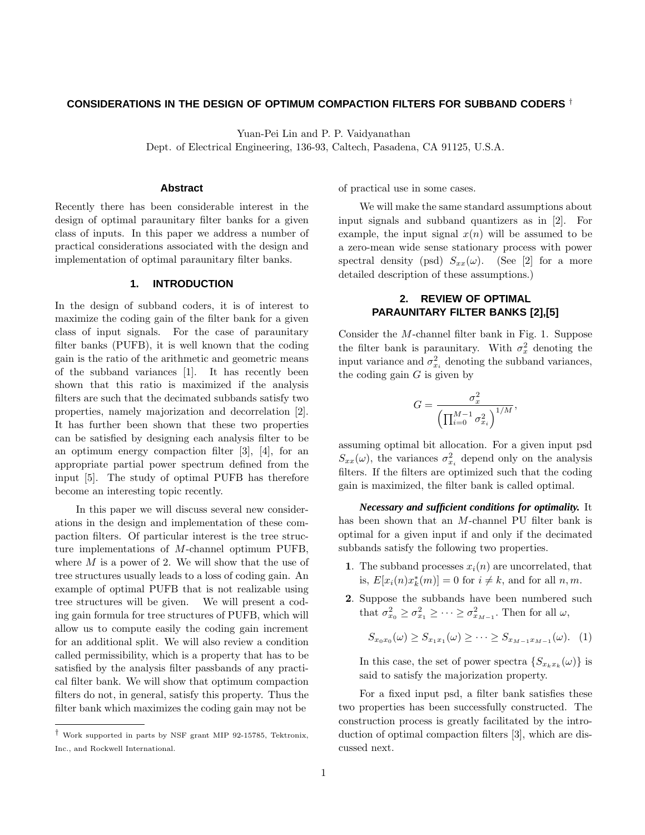# **CONSIDERATIONS IN THE DESIGN OF OPTIMUM COMPACTION FILTERS FOR SUBBAND CODERS** †

Yuan-Pei Lin and P. P. Vaidyanathan

Dept. of Electrical Engineering, 136-93, Caltech, Pasadena, CA 91125, U.S.A.

### **Abstract**

Recently there has been considerable interest in the design of optimal paraunitary filter banks for a given class of inputs. In this paper we address a number of practical considerations associated with the design and implementation of optimal paraunitary filter banks.

# **1. INTRODUCTION**

In the design of subband coders, it is of interest to maximize the coding gain of the filter bank for a given class of input signals. For the case of paraunitary filter banks (PUFB), it is well known that the coding gain is the ratio of the arithmetic and geometric means of the subband variances [1]. It has recently been shown that this ratio is maximized if the analysis filters are such that the decimated subbands satisfy two properties, namely majorization and decorrelation [2]. It has further been shown that these two properties can be satisfied by designing each analysis filter to be an optimum energy compaction filter [3], [4], for an appropriate partial power spectrum defined from the input [5]. The study of optimal PUFB has therefore become an interesting topic recently.

In this paper we will discuss several new considerations in the design and implementation of these compaction filters. Of particular interest is the tree structure implementations of *M*-channel optimum PUFB, where *M* is a power of 2. We will show that the use of tree structures usually leads to a loss of coding gain. An example of optimal PUFB that is not realizable using tree structures will be given. We will present a coding gain formula for tree structures of PUFB, which will allow us to compute easily the coding gain increment for an additional split. We will also review a condition called permissibility, which is a property that has to be satisfied by the analysis filter passbands of any practical filter bank. We will show that optimum compaction filters do not, in general, satisfy this property. Thus the filter bank which maximizes the coding gain may not be

of practical use in some cases.

We will make the same standard assumptions about input signals and subband quantizers as in [2]. For example, the input signal  $x(n)$  will be assumed to be a zero-mean wide sense stationary process with power spectral density (psd)  $S_{xx}(\omega)$ . (See [2] for a more detailed description of these assumptions.)

# **2. REVIEW OF OPTIMAL PARAUNITARY FILTER BANKS [2],[5]**

Consider the *M*-channel filter bank in Fig. 1. Suppose the filter bank is paraunitary. With  $\sigma_x^2$  denoting the input variance and  $\sigma_{x_i}^2$  denoting the subband variances, the coding gain *G* is given by

$$
G=\frac{\sigma_x^2}{\left(\prod_{i=0}^{M-1}\sigma_{x_i}^2\right)^{1/M}},
$$

assuming optimal bit allocation. For a given input psd  $S_{xx}(\omega)$ , the variances  $\sigma_{x_i}^2$  depend only on the analysis filters. If the filters are optimized such that the coding gain is maximized, the filter bank is called optimal.

*Necessary and sufficient conditions for optimality.* It has been shown that an *M*-channel PU filter bank is optimal for a given input if and only if the decimated subbands satisfy the following two properties.

- **1**. The subband processes  $x_i(n)$  are uncorrelated, that is,  $E[x_i(n)x_k^*(m)] = 0$  for  $i \neq k$ , and for all  $n, m$ .
- **2**. Suppose the subbands have been numbered such that  $\sigma_{x_0}^2 \geq \sigma_{x_1}^2 \geq \cdots \geq \sigma_{x_{M-1}}^2$ . Then for all  $\omega$ ,

$$
S_{x_0x_0}(\omega) \ge S_{x_1x_1}(\omega) \ge \cdots \ge S_{x_{M-1}x_{M-1}}(\omega). \quad (1)
$$

In this case, the set of power spectra  $\{S_{x_k x_k}(\omega)\}\$ is said to satisfy the majorization property.

For a fixed input psd, a filter bank satisfies these two properties has been successfully constructed. The construction process is greatly facilitated by the introduction of optimal compaction filters [3], which are discussed next.

<sup>†</sup> Work supported in parts by NSF grant MIP 92-15785, Tektronix, Inc., and Rockwell International.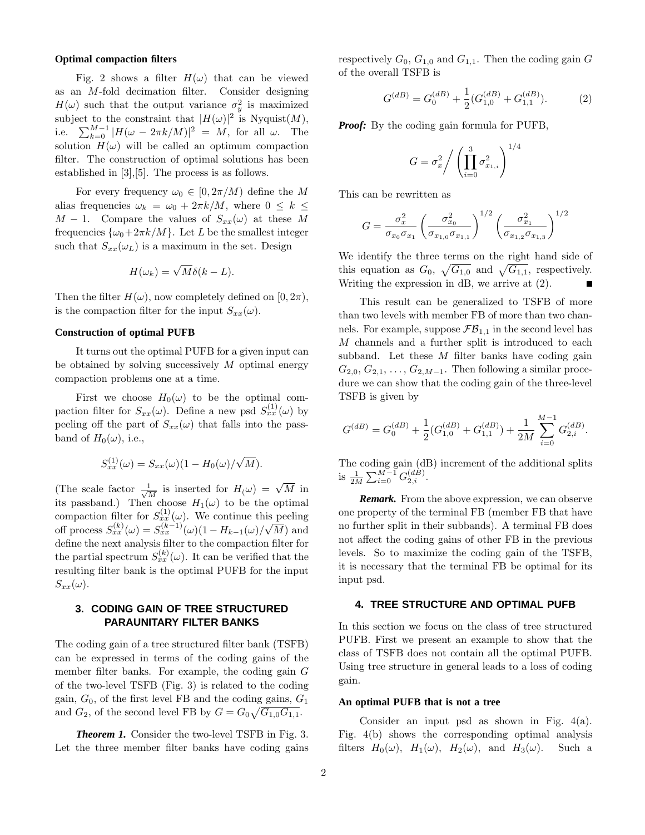#### **Optimal compaction filters**

Fig. 2 shows a filter  $H(\omega)$  that can be viewed as an *M*-fold decimation filter. Consider designing  $H(\omega)$  such that the output variance  $\sigma_y^2$  is maximized subject to the constraint that  $|H(\omega)|^2$  is Nyquist $(M)$ , i.e.  $\sum_{k=0}^{M-1} |H(\omega - 2\pi k/M)|^2 = M$ , for all  $\omega$ . The solution  $H(\omega)$  will be called an optimum compaction filter. The construction of optimal solutions has been established in [3],[5]. The process is as follows.

For every frequency  $\omega_0 \in [0, 2\pi/M)$  define the M alias frequencies  $\omega_k = \omega_0 + 2\pi k/M$ , where  $0 \leq k \leq$ *M* − 1. Compare the values of  $S_{xx}(\omega)$  at these *M* frequencies  $\{\omega_0+2\pi k/M\}$ . Let *L* be the smallest integer such that  $S_{xx}(\omega_L)$  is a maximum in the set. Design

$$
H(\omega_k) = \sqrt{M} \delta(k - L).
$$

Then the filter  $H(\omega)$ , now completely defined on [0,  $2\pi$ ), is the compaction filter for the input  $S_{xx}(\omega)$ .

#### **Construction of optimal PUFB**

It turns out the optimal PUFB for a given input can be obtained by solving successively *M* optimal energy compaction problems one at a time.

First we choose  $H_0(\omega)$  to be the optimal compaction filter for  $S_{xx}(\omega)$ . Define a new psd  $S_{xx}^{(1)}(\omega)$  by peeling off the part of  $S_{xx}(\omega)$  that falls into the passband of  $H_0(\omega)$ , i.e.,

$$
S_{xx}^{(1)}(\omega) = S_{xx}(\omega)(1 - H_0(\omega)/\sqrt{M}).
$$

(The scale factor  $\frac{1}{\sqrt{M}}$  is inserted for  $H(\omega) = \sqrt{M}$  in its passband.) Then choose  $H_1(\omega)$  to be the optimal compaction filter for  $S_{xx}^{(1)}(\omega)$ . We continue this peeling off process  $S_{xx}^{(k)}(\omega) = S_{xx}^{(k-1)}(\omega)(1 - H_{k-1}(\omega)/\sqrt{\omega})$ *M*) and define the next analysis filter to the compaction filter for the partial spectrum  $S_{xx}^{(k)}(\omega)$ . It can be verified that the resulting filter bank is the optimal PUFB for the input  $S_{xx}(\omega)$ .

# **3. CODING GAIN OF TREE STRUCTURED PARAUNITARY FILTER BANKS**

The coding gain of a tree structured filter bank (TSFB) can be expressed in terms of the coding gains of the member filter banks. For example, the coding gain *G* of the two-level TSFB (Fig. 3) is related to the coding gain,  $G_0$ , of the first level FB and the coding gains,  $G_1$ and  $G_2$ , of the second level FB by  $G = G_0 \sqrt{G_{1,0} G_{1,1}}$ .

*Theorem 1.* Consider the two-level TSFB in Fig. 3. Let the three member filter banks have coding gains respectively  $G_0$ ,  $G_{1,0}$  and  $G_{1,1}$ . Then the coding gain  $G$ of the overall TSFB is

$$
G^{(dB)} = G_0^{(dB)} + \frac{1}{2} (G_{1,0}^{(dB)} + G_{1,1}^{(dB)}).
$$
 (2)

*Proof:* By the coding gain formula for PUFB,

$$
G = \sigma_x^2 / \left(\prod_{i=0}^3 \sigma_{x_{1,i}}^2\right)^{1/4}
$$

This can be rewritten as

$$
G = \frac{\sigma_x^2}{\sigma_{x_0}\sigma_{x_1}} \left(\frac{\sigma_{x_0}^2}{\sigma_{x_{1,0}}\sigma_{x_{1,1}}}\right)^{1/2} \left(\frac{\sigma_{x_1}^2}{\sigma_{x_{1,2}}\sigma_{x_{1,3}}}\right)^{1/2}
$$

We identify the three terms on the right hand side of this equation as  $G_0$ ,  $\sqrt{G_{1,0}}$  and  $\sqrt{G_{1,1}}$ , respectively. Writing the expression in dB, we arrive at (2).

This result can be generalized to TSFB of more than two levels with member FB of more than two channels. For example, suppose  $\mathcal{FB}_{1,1}$  in the second level has *M* channels and a further split is introduced to each subband. Let these *M* filter banks have coding gain  $G_{2,0}, G_{2,1}, \ldots, G_{2,M-1}$ . Then following a similar procedure we can show that the coding gain of the three-level TSFB is given by

$$
G^{(dB)} = G_0^{(dB)} + \frac{1}{2} (G_{1,0}^{(dB)} + G_{1,1}^{(dB)}) + \frac{1}{2M} \sum_{i=0}^{M-1} G_{2,i}^{(dB)}.
$$

The coding gain (dB) increment of the additional splits is  $\frac{1}{2M} \sum_{i=0}^{M-1} G_{2,i}^{(dB)}$ .

*Remark.* From the above expression, we can observe one property of the terminal FB (member FB that have no further split in their subbands). A terminal FB does not affect the coding gains of other FB in the previous levels. So to maximize the coding gain of the TSFB, it is necessary that the terminal FB be optimal for its input psd.

#### **4. TREE STRUCTURE AND OPTIMAL PUFB**

In this section we focus on the class of tree structured PUFB. First we present an example to show that the class of TSFB does not contain all the optimal PUFB. Using tree structure in general leads to a loss of coding gain.

### **An optimal PUFB that is not a tree**

Consider an input psd as shown in Fig. 4(a). Fig. 4(b) shows the corresponding optimal analysis filters  $H_0(\omega)$ ,  $H_1(\omega)$ ,  $H_2(\omega)$ , and  $H_3(\omega)$ . Such a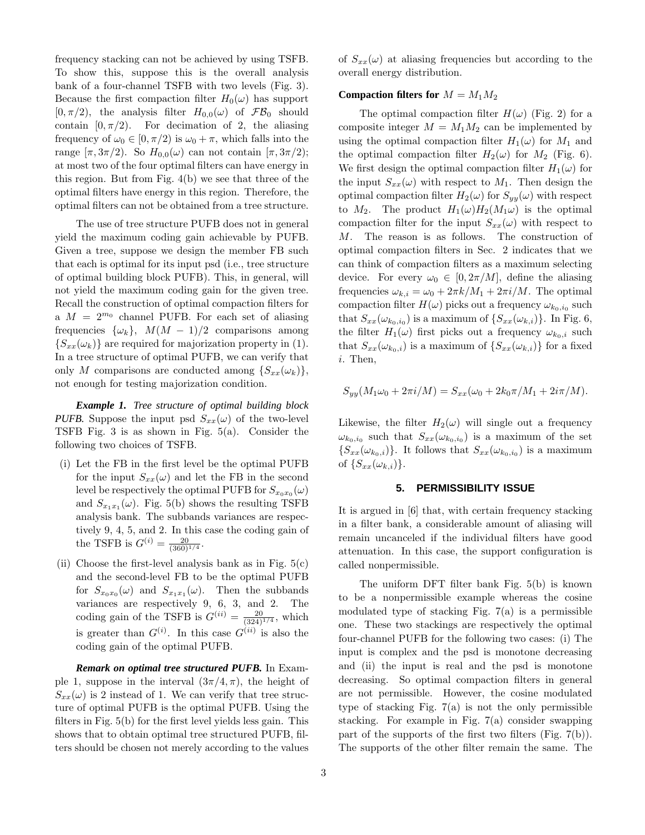frequency stacking can not be achieved by using TSFB. To show this, suppose this is the overall analysis bank of a four-channel TSFB with two levels (Fig. 3). Because the first compaction filter  $H_0(\omega)$  has support  $[0, \pi/2)$ , the analysis filter  $H_{0,0}(\omega)$  of  $\mathcal{FB}_0$  should contain  $[0, \pi/2)$ . For decimation of 2, the aliasing frequency of  $\omega_0 \in [0, \pi/2)$  is  $\omega_0 + \pi$ , which falls into the range  $[\pi, 3\pi/2]$ . So  $H_{0,0}(\omega)$  can not contain  $[\pi, 3\pi/2]$ ; at most two of the four optimal filters can have energy in this region. But from Fig. 4(b) we see that three of the optimal filters have energy in this region. Therefore, the optimal filters can not be obtained from a tree structure.

The use of tree structure PUFB does not in general yield the maximum coding gain achievable by PUFB. Given a tree, suppose we design the member FB such that each is optimal for its input psd (i.e., tree structure of optimal building block PUFB). This, in general, will not yield the maximum coding gain for the given tree. Recall the construction of optimal compaction filters for a  $M = 2^{m_0}$  channel PUFB. For each set of aliasing frequencies  $\{\omega_k\}$ ,  $M(M-1)/2$  comparisons among  ${S_{xx}(\omega_k)}$  are required for majorization property in (1). In a tree structure of optimal PUFB, we can verify that only *M* comparisons are conducted among  $\{S_{xx}(\omega_k)\},\$ not enough for testing majorization condition.

*Example 1. Tree structure of optimal building block PUFB.* Suppose the input psd  $S_{xx}(\omega)$  of the two-level TSFB Fig. 3 is as shown in Fig. 5(a). Consider the following two choices of TSFB.

- (i) Let the FB in the first level be the optimal PUFB for the input  $S_{xx}(\omega)$  and let the FB in the second level be respectively the optimal PUFB for  $S_{x_0x_0}(\omega)$ and  $S_{x_1x_1}(\omega)$ . Fig. 5(b) shows the resulting TSFB analysis bank. The subbands variances are respectively 9, 4, 5, and 2. In this case the coding gain of the TSFB is  $G^{(i)} = \frac{20}{(360)^{1/4}}$ .
- (ii) Choose the first-level analysis bank as in Fig.  $5(c)$ and the second-level FB to be the optimal PUFB for  $S_{x_0x_0}(\omega)$  and  $S_{x_1x_1}(\omega)$ . Then the subbands variances are respectively 9, 6, 3, and 2. The coding gain of the TSFB is  $G^{(ii)} = \frac{20}{(324)^{1/4}}$ , which is greater than  $G^{(i)}$ . In this case  $G^{(ii)}$  is also the coding gain of the optimal PUFB.

*Remark on optimal tree structured PUFB.* In Example 1, suppose in the interval  $(3\pi/4, \pi)$ , the height of  $S_{xx}(\omega)$  is 2 instead of 1. We can verify that tree structure of optimal PUFB is the optimal PUFB. Using the filters in Fig. 5(b) for the first level yields less gain. This shows that to obtain optimal tree structured PUFB, filters should be chosen not merely according to the values

of  $S_{xx}(\omega)$  at aliasing frequencies but according to the overall energy distribution.

# **Compaction filters for**  $M = M_1 M_2$

The optimal compaction filter  $H(\omega)$  (Fig. 2) for a composite integer  $M = M_1 M_2$  can be implemented by using the optimal compaction filter  $H_1(\omega)$  for  $M_1$  and the optimal compaction filter  $H_2(\omega)$  for  $M_2$  (Fig. 6). We first design the optimal compaction filter  $H_1(\omega)$  for the input  $S_{xx}(\omega)$  with respect to  $M_1$ . Then design the optimal compaction filter  $H_2(\omega)$  for  $S_{yy}(\omega)$  with respect to  $M_2$ . The product  $H_1(\omega)H_2(M_1\omega)$  is the optimal compaction filter for the input  $S_{xx}(\omega)$  with respect to *M*. The reason is as follows. The construction of optimal compaction filters in Sec. 2 indicates that we can think of compaction filters as a maximum selecting device. For every  $\omega_0 \in [0, 2\pi/M]$ , define the aliasing frequencies  $\omega_{k,i} = \omega_0 + 2\pi k/M_1 + 2\pi i/M$ . The optimal compaction filter  $H(\omega)$  picks out a frequency  $\omega_{k_0,i_0}$  such that  $S_{xx}(\omega_{k_0,i_0})$  is a maximum of  $\{S_{xx}(\omega_{k,i})\}$ . In Fig. 6, the filter  $H_1(\omega)$  first picks out a frequency  $\omega_{k_0,i}$  such that  $S_{xx}(\omega_{k_0,i})$  is a maximum of  $\{S_{xx}(\omega_{k,i})\}$  for a fixed *i*. Then,

$$
S_{yy}(M_1\omega_0 + 2\pi i/M) = S_{xx}(\omega_0 + 2k_0\pi/M_1 + 2i\pi/M).
$$

Likewise, the filter  $H_2(\omega)$  will single out a frequency  $\omega_{k_0,i_0}$  such that  $S_{xx}(\omega_{k_0,i_0})$  is a maximum of the set  ${S_{xx}(\omega_{k_0,i})}$ . It follows that  $S_{xx}(\omega_{k_0,i_0})$  is a maximum of  $\{S_{xx}(\omega_{k,i})\}.$ 

# **5. PERMISSIBILITY ISSUE**

It is argued in [6] that, with certain frequency stacking in a filter bank, a considerable amount of aliasing will remain uncanceled if the individual filters have good attenuation. In this case, the support configuration is called nonpermissible.

The uniform DFT filter bank Fig. 5(b) is known to be a nonpermissible example whereas the cosine modulated type of stacking Fig. 7(a) is a permissible one. These two stackings are respectively the optimal four-channel PUFB for the following two cases: (i) The input is complex and the psd is monotone decreasing and (ii) the input is real and the psd is monotone decreasing. So optimal compaction filters in general are not permissible. However, the cosine modulated type of stacking Fig.  $7(a)$  is not the only permissible stacking. For example in Fig. 7(a) consider swapping part of the supports of the first two filters (Fig. 7(b)). The supports of the other filter remain the same. The